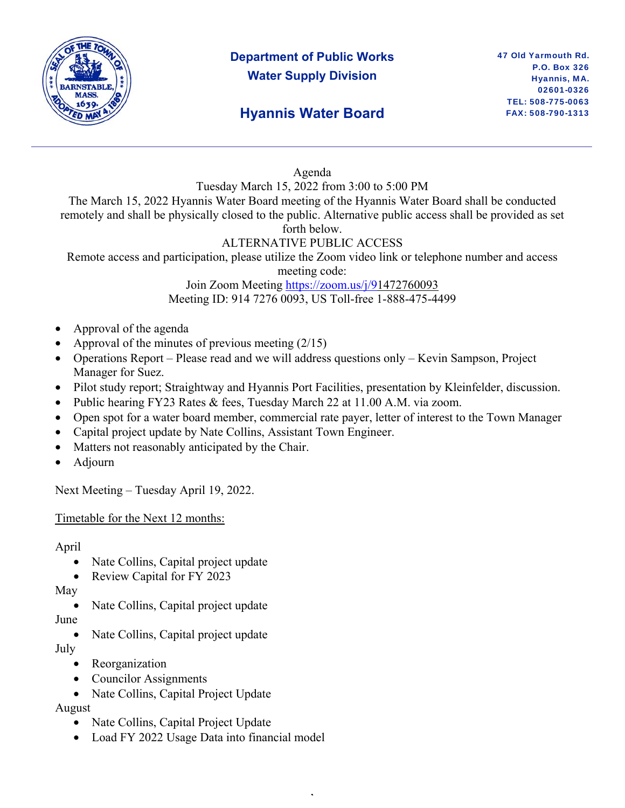

# **Department of Public Works Water Supply Division**

## **Hyannis Water Board**

#### Agenda

Tuesday March 15, 2022 from 3:00 to 5:00 PM

The March 15, 2022 Hyannis Water Board meeting of the Hyannis Water Board shall be conducted remotely and shall be physically closed to the public. Alternative public access shall be provided as set forth below.

#### ALTERNATIVE PUBLIC ACCESS

Remote access and participation, please utilize the Zoom video link or telephone number and access

meeting code:

Join Zoom Meeting https://zoom.us/j/91472760093 Meeting ID: 914 7276 0093, US Toll-free 1-888-475-4499

- Approval of the agenda
- Approval of the minutes of previous meeting  $(2/15)$
- Operations Report Please read and we will address questions only Kevin Sampson, Project Manager for Suez.
- Pilot study report; Straightway and Hyannis Port Facilities, presentation by Kleinfelder, discussion.
- Public hearing FY23 Rates & fees, Tuesday March 22 at 11.00 A.M. via zoom.
- Open spot for a water board member, commercial rate payer, letter of interest to the Town Manager

,

- Capital project update by Nate Collins, Assistant Town Engineer.
- Matters not reasonably anticipated by the Chair.
- Adjourn

Next Meeting – Tuesday April 19, 2022.

Timetable for the Next 12 months:

April

- Nate Collins, Capital project update
- Review Capital for FY 2023

May

Nate Collins, Capital project update

June

• Nate Collins, Capital project update

July

- Reorganization
- Councilor Assignments
- Nate Collins, Capital Project Update

August

- Nate Collins, Capital Project Update
- Load FY 2022 Usage Data into financial model